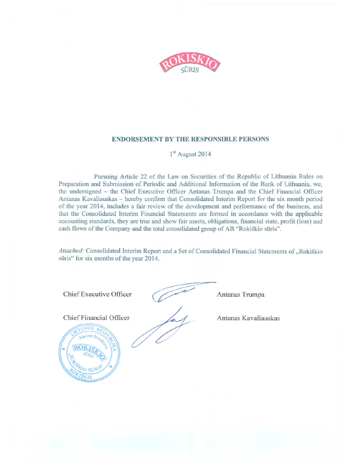

#### **ENDORSEMENT BY THE RESPONSIBLE PERSONS**

## 1<sup>st</sup> August 2014

Pursuing Article 22 of the Law on Securities of the Republic of Lithuania Rules on Preparation and Submission of Periodic and Additional Information of the Bank of Lithuania, we, the undersigned - the Chief Executive Officer Antanas Trumpa and the Chief Financial Officer Antanas Kavaliauskas – hereby confirm that Consolidated Interim Report for the six month period of the year 2014, includes a fair review of the development and performance of the business, and that the Consolidated Interim Financial Statements are formed in accordance with the applicable accounting standards, they are true and show fair assets, obligations, financial state, profit (loss) and cash flows of the Company and the total consolidated group of AB "Rokiškio sūris".

Attached: Consolidated Interim Report and a Set of Consolidated Financial Statements of "Rokiškio sūris" for six months of the year 2014.

Chief Executive Officer

Chief Financial Officer

Antanas Trumpa

Antanas Kavaliauskas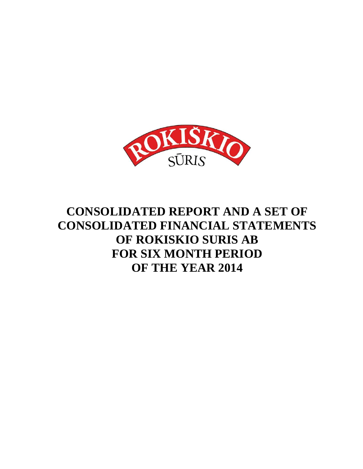

## **CONSOLIDATED REPORT AND A SET OF CONSOLIDATED FINANCIAL STATEMENTS OF ROKISKIO SURIS AB FOR SIX MONTH PERIOD OF THE YEAR 2014**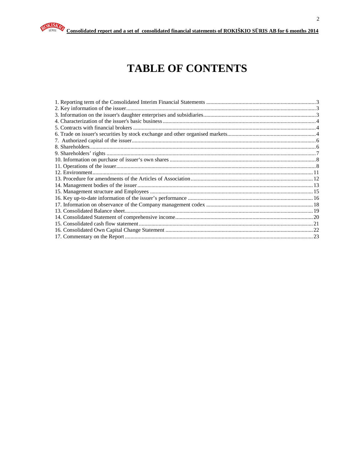

## **TABLE OF CONTENTS**

| 23 |
|----|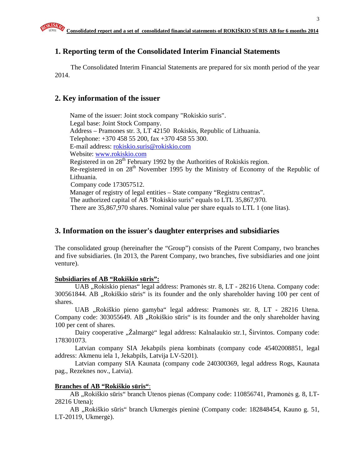## **1. Reporting term of the Consolidated Interim Financial Statements**

The Consolidated Interim Financial Statements are prepared for six month period of the year 2014.

## **2. Key information of the issuer**

Name of the issuer: Joint stock company "Rokiskio suris". Legal base: Joint Stock Company. Address – Pramones str. 3, LT 42150 Rokiskis, Republic of Lithuania. Telephone: +370 458 55 200, fax +370 458 55 300. E-mail address: rokiskio.suris@rokiskio.com Website: www.rokiskio.com Registered in on  $28<sup>th</sup>$  February 1992 by the Authorities of Rokiskis region. Re-registered in on 28<sup>th</sup> November 1995 by the Ministry of Economy of the Republic of Lithuania. Company code 173057512. Manager of registry of legal entities – State company "Registru centras". The authorized capital of AB "Rokiskio suris" equals to LTL 35,867,970. There are 35,867,970 shares. Nominal value per share equals to LTL 1 (one litas).

## **3. Information on the issuer's daughter enterprises and subsidiaries**

The consolidated group (hereinafter the "Group") consists of the Parent Company, two branches and five subsidiaries. (In 2013, the Parent Company, two branches, five subsidiaries and one joint venture).

#### **Subsidiaries of AB "Rokiškio s**ū**ris":**

UAB "Rokiskio pienas" legal address: Pramonės str. 8, LT - 28216 Utena. Company code: 300561844. AB "Rokiškio sūris" is its founder and the only shareholder having 100 per cent of shares.

UAB "Rokiškio pieno gamyba" legal address: Pramonės str. 8, LT - 28216 Utena. Company code: 303055649. AB, Rokiškio sūris" is its founder and the only shareholder having 100 per cent of shares.

Dairy cooperative "Žalmargė" legal address: Kalnalaukio str.1, Širvintos. Company code: 178301073.

Latvian company SIA Jekabpils piena kombinats (company code 45402008851, legal address: Akmenu iela 1, Jekabpils, Latvija LV-5201).

Latvian company SIA Kaunata (company code 240300369, legal address Rogs, Kaunata pag., Rezeknes nov., Latvia).

#### **Branches of AB "Rokiškio s**ū**ris"**:

AB "Rokiškio sūris" branch Utenos pienas (Company code: 110856741, Pramonės g. 8, LT-28216 Utena);

AB "Rokiškio sūris" branch Ukmergės pieninė (Company code: 182848454, Kauno g. 51, LT-20119, Ukmergė).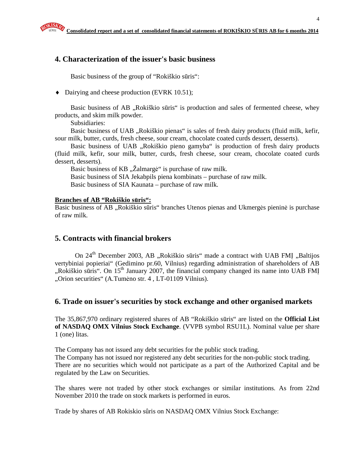## **4. Characterization of the issuer's basic business**

Basic business of the group of "Rokiškio sūris":

♦ Dairying and cheese production (EVRK 10.51);

Basic business of AB "Rokiškio sūris" is production and sales of fermented cheese, whey products, and skim milk powder.

Subsidiaries:

Basic business of UAB "Rokiškio pienas" is sales of fresh dairy products (fluid milk, kefir, sour milk, butter, curds, fresh cheese, sour cream, chocolate coated curds dessert, desserts).

Basic business of UAB "Rokiškio pieno gamyba" is production of fresh dairy products (fluid milk, kefir, sour milk, butter, curds, fresh cheese, sour cream, chocolate coated curds dessert, desserts).

Basic business of KB "Zalmargė" is purchase of raw milk. Basic business of SIA Jekabpils piena kombinats – purchase of raw milk. Basic business of SIA Kaunata – purchase of raw milk.

#### **Branches of AB "Rokiškio s**ū**ris":**

Basic business of AB "Rokiškio sūris" branches Utenos pienas and Ukmergės pieninė is purchase of raw milk.

## **5. Contracts with financial brokers**

On 24<sup>th</sup> December 2003, AB "Rokiškio sūris" made a contract with UAB FMI "Baltijos vertybiniai popieriai" (Gedimino pr.60, Vilnius) regarding administration of shareholders of AB  $\mu$ Rokiškio sūris". On 15<sup>th</sup> January 2007, the financial company changed its name into UAB FMI "Orion securities" (A.Tumėno str. 4, LT-01109 Vilnius).

## **6. Trade on issuer's securities by stock exchange and other organised markets**

The 35,867,970 ordinary registered shares of AB "Rokiškio sūris" are listed on the **Official List of NASDAQ OMX Vilnius Stock Exchange**. (VVPB symbol RSU1L). Nominal value per share 1 (one) litas.

The Company has not issued any debt securities for the public stock trading.

The Company has not issued nor registered any debt securities for the non-public stock trading. There are no securities which would not participate as a part of the Authorized Capital and be regulated by the Law on Securities.

The shares were not traded by other stock exchanges or similar institutions. As from 22nd November 2010 the trade on stock markets is performed in euros.

Trade by shares of AB Rokiskio sûris on NASDAQ OMX Vilnius Stock Exchange: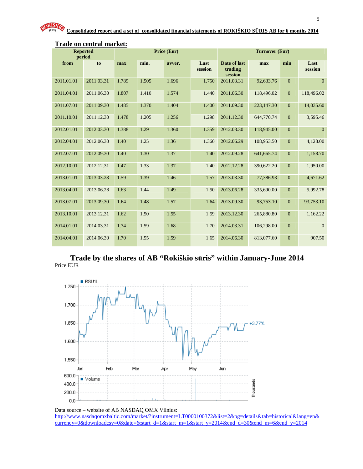| <b>Reported</b><br>period |            | Price (Eur) |       |        |                 | <b>Turnover (Eur)</b>              |            |                |                 |
|---------------------------|------------|-------------|-------|--------|-----------------|------------------------------------|------------|----------------|-----------------|
| from                      | to         | max         | min.  | avver. | Last<br>session | Date of last<br>trading<br>session | max        | min            | Last<br>session |
| 2011.01.01                | 2011.03.31 | 1.789       | 1.505 | 1.696  | 1.750           | 2011.03.31                         | 92,633.76  | $\overline{0}$ | $\mathbf{0}$    |
| 2011.04.01                | 2011.06.30 | 1.807       | 1.410 | 1.574  | 1.440           | 2011.06.30                         | 118,496.02 | $\overline{0}$ | 118,496.02      |
| 2011.07.01                | 2011.09.30 | 1.485       | 1.370 | 1.404  | 1.400           | 2011.09.30                         | 223,147.30 | $\mathbf{0}$   | 14,035.60       |
| 2011.10.01                | 2011.12.30 | 1.478       | 1.205 | 1.256  | 1.298           | 2011.12.30                         | 644,770.74 | $\mathbf{0}$   | 3,595.46        |
| 2012.01.01                | 2012.03.30 | 1.388       | 1.29  | 1.360  | 1.359           | 2012.03.30                         | 118,945.00 | $\mathbf{0}$   | $\mathbf{0}$    |
| 2012.04.01                | 2012.06.30 | 1.40        | 1.25  | 1.36   | 1.360           | 2012.06.29                         | 108,953.50 | $\mathbf{0}$   | 4,128.00        |
| 2012.07.01                | 2012.09.30 | 1.40        | 1.30  | 1.37   | 1.40            | 2012.09.28                         | 641,665.74 | $\mathbf{0}$   | 1,158.70        |
| 2012.10.01                | 2012.12.31 | 1.47        | 1.33  | 1.37   | 1.40            | 2012.12.28                         | 390,622.20 | $\mathbf{0}$   | 1,950.00        |
| 2013.01.01                | 2013.03.28 | 1.59        | 1.39  | 1.46   | 1.57            | 2013.03.30                         | 77,386.93  | $\mathbf{0}$   | 4,671.62        |
| 2013.04.01                | 2013.06.28 | 1.63        | 1.44  | 1.49   | 1.50            | 2013.06.28                         | 335,690.00 | $\mathbf{0}$   | 5,992.78        |
| 2013.07.01                | 2013.09.30 | 1.64        | 1.48  | 1.57   | 1.64            | 2013.09.30                         | 93,753.10  | $\overline{0}$ | 93,753.10       |
| 2013.10.01                | 2013.12.31 | 1.62        | 1.50  | 1.55   | 1.59            | 2013.12.30                         | 265,880.80 | $\overline{0}$ | 1,162.22        |
| 2014.01.01                | 2014.03.31 | 1.74        | 1.59  | 1.68   | 1.70            | 2014.03.31                         | 106,298.00 | $\overline{0}$ | $\mathbf{0}$    |
| 2014.04.01                | 2014.06.30 | 1.70        | 1.55  | 1.59   | 1.65            | 2014.06.30                         | 813,077.60 | $\overline{0}$ | 907.50          |

#### **Trade on central market:**

**Trade by the shares of AB "Rokiškio s**ū**ris" within January-June 2014**  Price EUR



Data source – website of AB NASDAQ OMX Vilnius: http://www.nasdaqomxbaltic.com/market/?instrument=LT0000100372&list=2&pg=details&tab=historical&lang=en& currency=0&downloadcsv=0&date=&start\_d=1&start\_m=1&start\_y=2014&end\_d=30&end\_m=6&end\_y=2014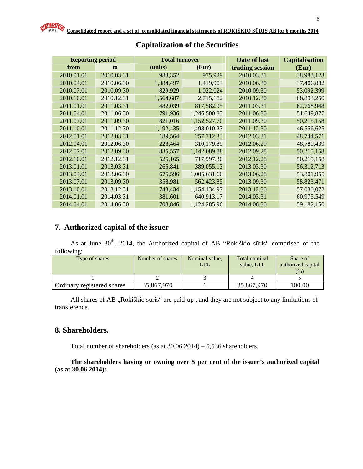| <b>Reporting period</b> |            | <b>Total turnover</b> |              | Date of last    | <b>Capitalisation</b> |
|-------------------------|------------|-----------------------|--------------|-----------------|-----------------------|
| from                    | to         | (units)               | (Eur)        | trading session | (Eur)                 |
| 2010.01.01              | 2010.03.31 | 988,352               | 975,929      | 2010.03.31      | 38,983,123            |
| 2010.04.01              | 2010.06.30 | 1,384,497             | 1,419,903    | 2010.06.30      | 37,406,882            |
| 2010.07.01              | 2010.09.30 | 829,929               | 1,022,024    | 2010.09.30      | 53,092,399            |
| 2010.10.01              | 2010.12.31 | 1,564,687             | 2,715,182    | 2010.12.30      | 68,893,250            |
| 2011.01.01              | 2011.03.31 | 482,039               | 817,582.95   | 2011.03.31      | 62,768,948            |
| 2011.04.01              | 2011.06.30 | 791,936               | 1,246,500.83 | 2011.06.30      | 51,649,877            |
| 2011.07.01              | 2011.09.30 | 821,016               | 1,152,527.70 | 2011.09.30      | 50,215,158            |
| 2011.10.01              | 2011.12.30 | 1,192,435             | 1,498,010.23 | 2011.12.30      | 46,556,625            |
| 2012.01.01              | 2012.03.31 | 189,564               | 257,712.33   | 2012.03.31      | 48,744,571            |
| 2012.04.01              | 2012.06.30 | 228,464               | 310,179.89   | 2012.06.29      | 48,780,439            |
| 2012.07.01              | 2012.09.30 | 835,557               | 1,142,089.88 | 2012.09.28      | 50,215,158            |
| 2012.10.01              | 2012.12.31 | 525,165               | 717,997.30   | 2012.12.28      | 50,215,158            |
| 2013.01.01              | 2013.03.31 | 265,841               | 389,055.13   | 2013.03.30      | 56,312,713            |
| 2013.04.01              | 2013.06.30 | 675,596               | 1,005,631.66 | 2013.06.28      | 53,801,955            |
| 2013.07.01              | 2013.09.30 | 358,981               | 562,423.85   | 2013.09.30      | 58,823,471            |
| 2013.10.01              | 2013.12.31 | 743,434               | 1,154,134.97 | 2013.12.30      | 57,030,072            |
| 2014.01.01              | 2014.03.31 | 381,601               | 640,913.17   | 2014.03.31      | 60,975,549            |
| 2014.04.01              | 2014.06.30 | 708,846               | 1,124,285.96 | 2014.06.30      | 59,182,150            |

## **Capitalization of the Securities**

## **7. Authorized capital of the issuer**

As at June  $30<sup>th</sup>$ , 2014, the Authorized capital of AB "Rokiškio sūris" comprised of the following:

| Type of shares             | Number of shares | Nominal value,<br>LTL | Total nominal<br>value. LTL | Share of<br>authorized capital<br>(%) |
|----------------------------|------------------|-----------------------|-----------------------------|---------------------------------------|
|                            |                  |                       |                             |                                       |
| Ordinary registered shares | 35,867,970       |                       | 35,867,970                  | 100.00                                |

All shares of AB "Rokiškio sūris" are paid-up, and they are not subject to any limitations of transference.

## **8. Shareholders.**

Total number of shareholders (as at 30.06.2014) – 5,536 shareholders.

#### **The shareholders having or owning over 5 per cent of the issuer's authorized capital (as at 30.06.2014):**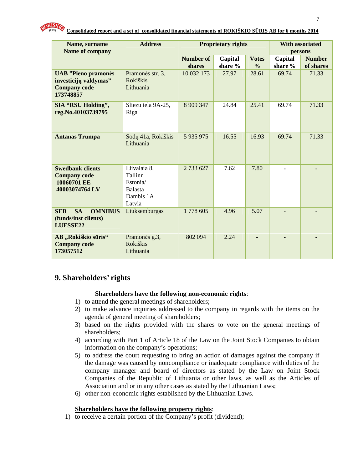| Name, surname                                                                           | <b>Address</b>                                                               |               | <b>Proprietary rights</b> | <b>With associated</b> |                |               |
|-----------------------------------------------------------------------------------------|------------------------------------------------------------------------------|---------------|---------------------------|------------------------|----------------|---------------|
| Name of company                                                                         |                                                                              |               |                           |                        |                | persons       |
|                                                                                         |                                                                              | Number of     | Capital                   | <b>Votes</b>           | Capital        | <b>Number</b> |
|                                                                                         |                                                                              | shares        | share %                   | $\frac{0}{0}$          | share %        | of shares     |
| <b>UAB</b> "Pieno pramonės<br>investicijų valdymas"<br><b>Company code</b><br>173748857 | Pramonės str. 3,<br><b>Rokiškis</b><br>Lithuania                             | 10 032 173    | 27.97                     | 28.61                  | 69.74          | 71.33         |
| <b>SIA "RSU Holding",</b><br>reg.No.40103739795                                         | Sliezu iela 9A-25,<br>Riga                                                   | 8 9 0 347     | 24.84                     | 25.41                  | 69.74          | 71.33         |
| <b>Antanas Trumpa</b>                                                                   | Sodų 41a, Rokiškis<br>Lithuania                                              | 5 9 3 5 9 7 5 | 16.55                     | 16.93                  | 69.74          | 71.33         |
| <b>Swedbank clients</b><br><b>Company code</b><br>10060701 EE<br>40003074764 LV         | Liivalaia 8,<br>Tallinn<br>Estonia/<br><b>Balasta</b><br>Dambis 1A<br>Latvia | 2 733 627     | 7.62                      | 7.80                   | $\blacksquare$ |               |
| <b>SA</b><br><b>SEB</b><br><b>OMNIBUS</b><br>(funds/inst clients)<br>LUESSE22           | Liuksemburgas                                                                | 1778 605      | 4.96                      | 5.07                   |                |               |
| AB "Rokiškio sūris"<br><b>Company code</b><br>173057512                                 | Pramonės g.3,<br><b>Rokiškis</b><br>Lithuania                                | 802 094       | 2.24                      |                        |                |               |

## **9. Shareholders' rights**

#### **Shareholders have the following non-economic rights**:

- 1) to attend the general meetings of shareholders;
- 2) to make advance inquiries addressed to the company in regards with the items on the agenda of general meeting of shareholders;
- 3) based on the rights provided with the shares to vote on the general meetings of shareholders;
- 4) according with Part 1 of Article 18 of the Law on the Joint Stock Companies to obtain information on the company's operations;
- 5) to address the court requesting to bring an action of damages against the company if the damage was caused by noncompliance or inadequate compliance with duties of the company manager and board of directors as stated by the Law on Joint Stock Companies of the Republic of Lithuania or other laws, as well as the Articles of Association and or in any other cases as stated by the Lithuanian Laws;
- 6) other non-economic rights established by the Lithuanian Laws.

#### **Shareholders have the following property rights**:

1) to receive a certain portion of the Company's profit (dividend);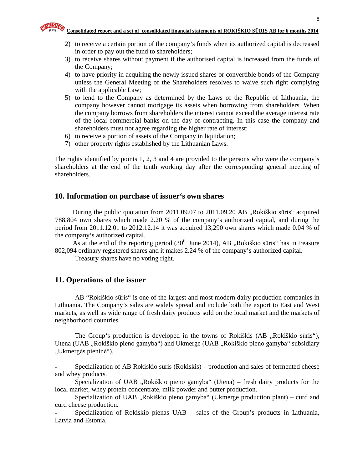- 2) to receive a certain portion of the company's funds when its authorized capital is decreased in order to pay out the fund to shareholders;
- 3) to receive shares without payment if the authorised capital is increased from the funds of the Company;
- 4) to have priority in acquiring the newly issued shares or convertible bonds of the Company unless the General Meeting of the Shareholders resolves to waive such right complying with the applicable Law;
- 5) to lend to the Company as determined by the Laws of the Republic of Lithuania, the company however cannot mortgage its assets when borrowing from shareholders. When the company borrows from shareholders the interest cannot exceed the average interest rate of the local commercial banks on the day of contracting. In this case the company and shareholders must not agree regarding the higher rate of interest;
- 6) to receive a portion of assets of the Company in liquidation;
- 7) other property rights established by the Lithuanian Laws.

The rights identified by points 1, 2, 3 and 4 are provided to the persons who were the company's shareholders at the end of the tenth working day after the corresponding general meeting of shareholders.

#### **10. Information on purchase of issuer's own shares**

During the public quotation from  $2011.09.07$  to  $2011.09.20$  AB  $,$ Rokiškio sūris" acquired 788,804 own shares which made 2.20 % of the company's authorized capital, and during the period from 2011.12.01 to 2012.12.14 it was acquired 13,290 own shares which made 0.04 % of the company's authorized capital.

As at the end of the reporting period  $(30<sup>th</sup>$  June 2014), AB "Rokiškio sūris" has in treasure 802,094 ordinary registered shares and it makes 2.24 % of the company's authorized capital.

Treasury shares have no voting right.

#### **11. Operations of the issuer**

AB "Rokiškio sūris" is one of the largest and most modern dairy production companies in Lithuania. The Company's sales are widely spread and include both the export to East and West markets, as well as wide range of fresh dairy products sold on the local market and the markets of neighborhood countries.

The Group's production is developed in the towns of Rokiškis (AB , Rokiškio sūris"), Utena (UAB "Rokiškio pieno gamyba") and Ukmerge (UAB "Rokiškio pieno gamyba" subsidiary "Ukmergės pieninė").

- Specialization of AB Rokiskio suris (Rokiskis) – production and sales of fermented cheese and whey products.

Specialization of UAB "Rokiškio pieno gamyba" (Utena) – fresh dairy products for the local market, whey protein concentrate, milk powder and butter production.

Specialization of UAB "Rokiškio pieno gamyba" (Ukmerge production plant) – curd and curd cheese production.

Specialization of Rokiskio pienas UAB – sales of the Group's products in Lithuania, Latvia and Estonia.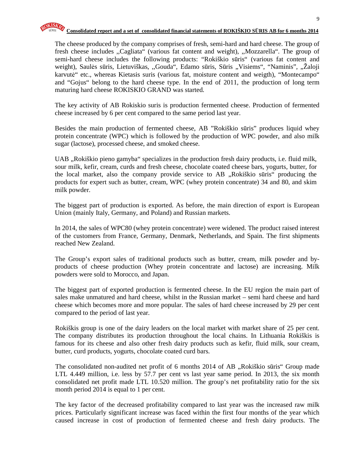The cheese produced by the company comprises of fresh, semi-hard and hard cheese. The group of fresh cheese includes ,,Cagliata" (various fat content and weight), ,,Mozzarella". The group of semi-hard cheese includes the following products: "Rokiškio sūris" (various fat content and weight), Saulės sūris, Lietuviškas, "Gouda", Edamo sūris, Sūris "Visiems", "Naminis", "Žaloji karvutė" etc., whereas Kietasis suris (various fat, moisture content and weigth), "Montecampo" and "Gojus" belong to the hard cheese type. In the end of 2011, the production of long term maturing hard cheese ROKISKIO GRAND was started.

The key activity of AB Rokiskio suris is production fermented cheese. Production of fermented cheese increased by 6 per cent compared to the same period last year.

Besides the main production of fermented cheese, AB "Rokiškio sūris" produces liquid whey protein concentrate (WPC) which is followed by the production of WPC powder, and also milk sugar (lactose), processed cheese, and smoked cheese.

UAB "Rokiškio pieno gamyba" specializes in the production fresh dairy products, i.e. fluid milk, sour milk, kefir, cream, curds and fresh cheese, chocolate coated cheese bars, yogurts, butter, for the local market, also the company provide service to AB , Rokiškio sūris" producing the products for expert such as butter, cream, WPC (whey protein concentrate) 34 and 80, and skim milk powder.

The biggest part of production is exported. As before, the main direction of export is European Union (mainly Italy, Germany, and Poland) and Russian markets.

In 2014, the sales of WPC80 (whey protein concentrate) were widened. The product raised interest of the customers from France, Germany, Denmark, Netherlands, and Spain. The first shipments reached New Zealand.

The Group's export sales of traditional products such as butter, cream, milk powder and byproducts of cheese production (Whey protein concentrate and lactose) are increasing. Milk powders were sold to Morocco, and Japan.

The biggest part of exported production is fermented cheese. In the EU region the main part of sales make unmatured and hard cheese, whilst in the Russian market – semi hard cheese and hard cheese which becomes more and more popular. The sales of hard cheese increased by 29 per cent compared to the period of last year.

Rokiškis group is one of the dairy leaders on the local market with market share of 25 per cent. The company distributes its production throughout the local chains. In Lithuania Rokiškis is famous for its cheese and also other fresh dairy products such as kefir, fluid milk, sour cream, butter, curd products, yogurts, chocolate coated curd bars.

The consolidated non-audited net profit of 6 months 2014 of AB "Rokiškio sūris" Group made LTL 4.449 million, i.e. less by 57.7 per cent vs last year same period. In 2013, the six month consolidated net profit made LTL 10.520 million. The group's net profitability ratio for the six month period 2014 is equal to 1 per cent.

The key factor of the decreased profitability compared to last year was the increased raw milk prices. Particularly significant increase was faced within the first four months of the year which caused increase in cost of production of fermented cheese and fresh dairy products. The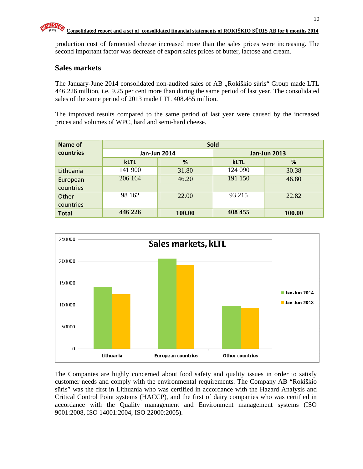

production cost of fermented cheese increased more than the sales prices were increasing. The second important factor was decrease of export sales prices of butter, lactose and cream.

## **Sales markets**

The January-June 2014 consolidated non-audited sales of AB "Rokiškio sūris" Group made LTL 446.226 million, i.e. 9.25 per cent more than during the same period of last year. The consolidated sales of the same period of 2013 made LTL 408.455 million.

The improved results compared to the same period of last year were caused by the increased prices and volumes of WPC, hard and semi-hard cheese.

| Name of      | <b>Sold</b> |                     |         |                     |  |  |
|--------------|-------------|---------------------|---------|---------------------|--|--|
| countries    |             | <b>Jan-Jun 2014</b> |         | <b>Jan-Jun 2013</b> |  |  |
|              | <b>kLTL</b> | %                   |         | %                   |  |  |
| Lithuania    | 141 900     | 31.80               | 124 090 | 30.38               |  |  |
| European     | 206 164     | 46.20               | 191 150 | 46.80               |  |  |
| countries    |             |                     |         |                     |  |  |
| Other        | 98 162      | 22.00               | 93 215  | 22.82               |  |  |
| countries    |             |                     |         |                     |  |  |
| <b>Total</b> | 446 226     | 100.00              | 408 455 | 100.00              |  |  |



The Companies are highly concerned about food safety and quality issues in order to satisfy customer needs and comply with the environmental requirements. The Company AB "Rokiškio sūris" was the first in Lithuania who was certified in accordance with the Hazard Analysis and Critical Control Point systems (HACCP), and the first of dairy companies who was certified in accordance with the Quality management and Environment management systems (ISO 9001:2008, ISO 14001:2004, ISO 22000:2005).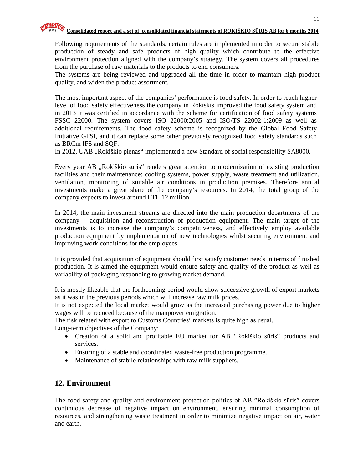Following requirements of the standards, certain rules are implemented in order to secure stabile production of steady and safe products of high quality which contribute to the effective environment protection aligned with the company's strategy. The system covers all procedures from the purchase of raw materials to the products to end consumers.

The systems are being reviewed and upgraded all the time in order to maintain high product quality, and widen the product assortment.

The most important aspect of the companies' performance is food safety. In order to reach higher level of food safety effectiveness the company in Rokiskis improved the food safety system and in 2013 it was certified in accordance with the scheme for certification of food safety systems FSSC 22000. The system covers ISO 22000:2005 and ISO/TS 22002-1:2009 as well as additional requirements. The food safety scheme is recognized by the Global Food Safety Initiative GFSI, and it can replace some other previously recognized food safety standards such as BRCm IFS and SQF.

In 2012, UAB "Rokiškio pienas" implemented a new Standard of social responsibility SA8000.

Every year AB ., Rokiškio sūris" renders great attention to modernization of existing production facilities and their maintenance: cooling systems, power supply, waste treatment and utilization, ventilation, monitoring of suitable air conditions in production premises. Therefore annual investments make a great share of the company's resources. In 2014, the total group of the company expects to invest around LTL 12 million.

In 2014, the main investment streams are directed into the main production departments of the company – acquisition and reconstruction of production equipment. The main target of the investments is to increase the company's competitiveness, and effectively employ available production equipment by implementation of new technologies whilst securing environment and improving work conditions for the employees.

It is provided that acquisition of equipment should first satisfy customer needs in terms of finished production. It is aimed the equipment would ensure safety and quality of the product as well as variability of packaging responding to growing market demand.

It is mostly likeable that the forthcoming period would show successive growth of export markets as it was in the previous periods which will increase raw milk prices.

It is not expected the local market would grow as the increased purchasing power due to higher wages will be reduced because of the manpower emigration.

The risk related with export to Customs Countries' markets is quite high as usual.

Long-term objectives of the Company:

- Creation of a solid and profitable EU market for AB "Rokiškio sūris" products and services.
- Ensuring of a stable and coordinated waste-free production programme.
- Maintenance of stabile relationships with raw milk suppliers.

## **12. Environment**

The food safety and quality and environment protection politics of AB "Rokiškio sūris" covers continuous decrease of negative impact on environment, ensuring minimal consumption of resources, and strengthening waste treatment in order to minimize negative impact on air, water and earth.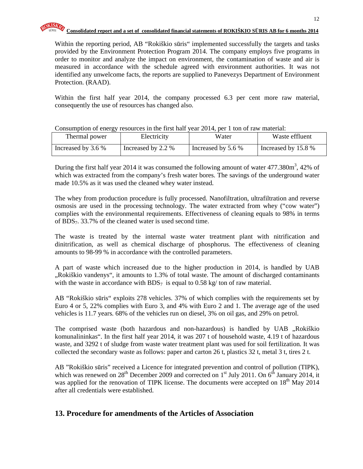

Within the reporting period, AB "Rokiškio sūris" implemented successfully the targets and tasks provided by the Environment Protection Program 2014. The company employs five programs in order to monitor and analyze the impact on environment, the contamination of waste and air is measured in accordance with the schedule agreed with environment authorities. It was not identified any unwelcome facts, the reports are supplied to Panevezys Department of Environment Protection. (RAAD).

Within the first half year 2014, the company processed 6.3 per cent more raw material, consequently the use of resources has changed also.

|                    |                    | $\frac{1}{2}$      |                     |
|--------------------|--------------------|--------------------|---------------------|
| Thermal power      | Electricity        | Water              | Waste effluent      |
| Increased by 3.6 % | Increased by 2.2 % | Increased by 5.6 % | Increased by 15.8 % |

Consumption of energy resources in the first half year 2014, per 1 ton of raw material:

During the first half year 2014 it was consumed the following amount of water  $477.380m^3$ ,  $42\%$  of which was extracted from the company's fresh water bores. The savings of the underground water made 10.5% as it was used the cleaned whey water instead.

The whey from production procedure is fully processed. Nanofiltration, ultrafiltration and reverse osmosis are used in the processing technology. The water extracted from whey ("cow water") complies with the environmental requirements. Effectiveness of cleaning equals to 98% in terms of BDS7. 33.7% of the cleaned water is used second time.

The waste is treated by the internal waste water treatment plant with nitrification and dinitrification, as well as chemical discharge of phosphorus. The effectiveness of cleaning amounts to 98-99 % in accordance with the controlled parameters.

A part of waste which increased due to the higher production in 2014, is handled by UAB "Rokiškio vandenys", it amounts to 1.3% of total waste. The amount of discharged contaminants with the waste in accordance with  $BDS<sub>7</sub>$  is equal to 0.58 kg/ ton of raw material.

AB "Rokiškio sūris" exploits 278 vehicles. 37% of which complies with the requirements set by Euro 4 or 5, 22% complies with Euro 3, and 4% with Euro 2 and 1. The average age of the used vehicles is 11.7 years. 68% of the vehicles run on diesel, 3% on oil gas, and 29% on petrol.

The comprised waste (both hazardous and non-hazardous) is handled by UAB "Rokiškio komunalininkas". In the first half year 2014, it was 207 t of household waste, 4.19 t of hazardous waste, and 3292 t of sludge from waste water treatment plant was used for soil fertilization. It was collected the secondary waste as follows: paper and carton 26 t, plastics 32 t, metal 3 t, tires 2 t.

AB "Rokiškio sūris" received a Licence for integrated prevention and control of pollution (TIPK), which was renewed on  $28^{th}$  December 2009 and corrected on  $1<sup>st</sup>$  July 2011. On  $6<sup>th</sup>$  January 2014, it was applied for the renovation of TIPK license. The documents were accepted on 18<sup>th</sup> May 2014 after all credentials were established.

## **13. Procedure for amendments of the Articles of Association**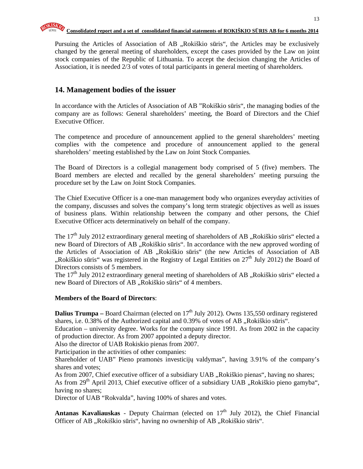Pursuing the Articles of Association of AB "Rokiškio sūris", the Articles may be exclusively changed by the general meeting of shareholders, except the cases provided by the Law on joint stock companies of the Republic of Lithuania. To accept the decision changing the Articles of Association, it is needed 2/3 of votes of total participants in general meeting of shareholders.

## **14. Management bodies of the issuer**

In accordance with the Articles of Association of AB "Rokiškio sūris", the managing bodies of the company are as follows: General shareholders' meeting, the Board of Directors and the Chief Executive Officer.

The competence and procedure of announcement applied to the general shareholders' meeting complies with the competence and procedure of announcement applied to the general shareholders' meeting established by the Law on Joint Stock Companies.

The Board of Directors is a collegial management body comprised of 5 (five) members. The Board members are elected and recalled by the general shareholders' meeting pursuing the procedure set by the Law on Joint Stock Companies.

The Chief Executive Officer is a one-man management body who organizes everyday activities of the company, discusses and solves the company's long term strategic objectives as well as issues of business plans. Within relationship between the company and other persons, the Chief Executive Officer acts determinatively on behalf of the company.

The 17<sup>th</sup> July 2012 extraordinary general meeting of shareholders of AB "Rokiškio sūris" elected a new Board of Directors of AB "Rokiškio sūris". In accordance with the new approved wording of the Articles of Association of AB "Rokiškio sūris" (the new Articles of Association of AB ",Rokiškio sūris" was registered in the Registry of Legal Entities on  $27<sup>th</sup>$  July 2012) the Board of Directors consists of 5 members.

The  $17<sup>th</sup>$  July 2012 extraordinary general meeting of shareholders of AB "Rokiškio sūris" elected a new Board of Directors of AB "Rokiškio sūris" of 4 members.

#### **Members of the Board of Directors**:

**Dalius Trumpa** – Board Chairman (elected on  $17<sup>th</sup>$  July 2012). Owns 135,550 ordinary registered shares, i.e. 0.38% of the Authorized capital and 0.39% of votes of AB "Rokiškio sūris".

Education – university degree. Works for the company since 1991. As from 2002 in the capacity of production director. As from 2007 appointed a deputy director.

Also the director of UAB Rokiskio pienas from 2007.

Participation in the activities of other companies:

Shareholder of UAB" Pieno pramonės investicijų valdymas", having 3.91% of the company's shares and votes;

As from 2007, Chief executive officer of a subsidiary UAB "Rokiškio pienas", having no shares; As from  $29<sup>th</sup>$  April 2013, Chief executive officer of a subsidiary UAB  $\alpha$ Rokiškio pieno gamyba", having no shares;

Director of UAB "Rokvalda", having 100% of shares and votes.

**Antanas Kavaliauskas** - Deputy Chairman (elected on 17<sup>th</sup> July 2012), the Chief Financial Officer of AB "Rokiškio sūris", having no ownership of AB "Rokiškio sūris".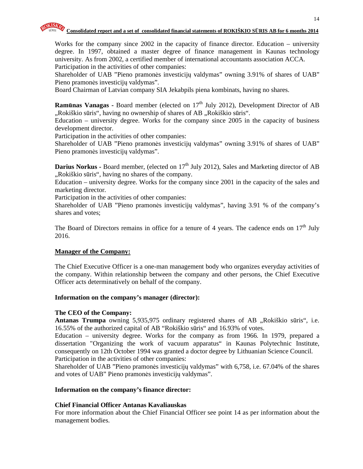

Works for the company since 2002 in the capacity of finance director. Education – university degree. In 1997, obtained a master degree of finance management in Kaunas technology university. As from 2002, a certified member of international accountants association ACCA. Participation in the activities of other companies:

Shareholder of UAB "Pieno pramonės investicijų valdymas" owning 3.91% of shares of UAB" Pieno pramonės investicijų valdymas".

Board Chairman of Latvian company SIA Jekabpils piena kombinats, having no shares.

**Ramūnas Vanagas -** Board member (elected on 17<sup>th</sup> July 2012), Development Director of AB ",Rokiškio sūris", having no ownership of shares of AB "Rokiškio sūris".

Education – university degree. Works for the company since 2005 in the capacity of business development director.

Participation in the activities of other companies:

Shareholder of UAB "Pieno pramonės investicijų valdymas" owning 3.91% of shares of UAB" Pieno pramonės investicijų valdymas".

**Darius Norkus - Board member, (elected on 17<sup>th</sup> July 2012), Sales and Marketing director of AB** "Rokiškio sūris", having no shares of the company.

Education – university degree. Works for the company since 2001 in the capacity of the sales and marketing director.

Participation in the activities of other companies:

Shareholder of UAB "Pieno pramonės investicijų valdymas", having 3.91 % of the company's shares and votes;

The Board of Directors remains in office for a tenure of 4 years. The cadence ends on  $17<sup>th</sup>$  July 2016.

#### **Manager of the Company:**

The Chief Executive Officer is a one-man management body who organizes everyday activities of the company. Within relationship between the company and other persons, the Chief Executive Officer acts determinatively on behalf of the company.

#### **Information on the company's manager (director):**

#### **The CEO of the Company:**

**Antanas Trumpa** owning 5,935,975 ordinary registered shares of AB "Rokiškio sūris", i.e. 16.55% of the authorized capital of AB "Rokiškio sūris" and 16.93% of votes.

Education – university degree. Works for the company as from 1966. In 1979, prepared a dissertation "Organizing the work of vacuum apparatus" in Kaunas Polytechnic Institute, consequently on 12th October 1994 was granted a doctor degree by Lithuanian Science Council. Participation in the activities of other companies:

Shareholder of UAB "Pieno pramonės investicijų valdymas" with 6,758, i.e. 67.04% of the shares and votes of UAB" Pieno pramonės investicijų valdymas".

#### **Information on the company's finance director:**

#### **Chief Financial Officer Antanas Kavaliauskas**

For more information about the Chief Financial Officer see point 14 as per information about the management bodies.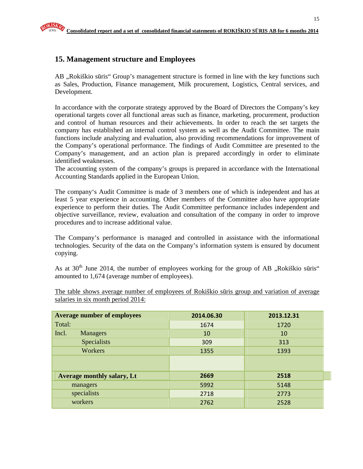## **15. Management structure and Employees**

AB "Rokiškio sūris" Group's management structure is formed in line with the key functions such as Sales, Production, Finance management, Milk procurement, Logistics, Central services, and Development.

In accordance with the corporate strategy approved by the Board of Directors the Company's key operational targets cover all functional areas such as finance, marketing, procurement, production and control of human resources and their achievements. In order to reach the set targets the company has established an internal control system as well as the Audit Committee. The main functions include analyzing and evaluation, also providing recommendations for improvement of the Company's operational performance. The findings of Audit Committee are presented to the Company's management, and an action plan is prepared accordingly in order to eliminate identified weaknesses.

The accounting system of the company's groups is prepared in accordance with the International Accounting Standards applied in the European Union.

The company's Audit Committee is made of 3 members one of which is independent and has at least 5 year experience in accounting. Other members of the Committee also have appropriate experience to perform their duties. The Audit Committee performance includes independent and objective surveillance, review, evaluation and consultation of the company in order to improve procedures and to increase additional value.

The Company's performance is managed and controlled in assistance with the informational technologies. Security of the data on the Company's information system is ensured by document copying.

As at  $30<sup>th</sup>$  June 2014, the number of employees working for the group of AB "Rokiškio sūris" amounted to 1,674 (average number of employees).

The table shows average number of employees of Rokiškio sūris group and variation of average salaries in six month period 2014:

| <b>Average number of employees</b> | 2014.06.30 | 2013.12.31 |
|------------------------------------|------------|------------|
| Total:                             | 1674       | 1720       |
| Incl.<br><b>Managers</b>           | 10         | 10         |
| <b>Specialists</b>                 | 309        | 313        |
| Workers                            | 1355       | 1393       |
|                                    |            |            |
| <b>Average monthly salary, Lt</b>  | 2669       | 2518       |
| managers                           | 5992       | 5148       |
| specialists                        | 2718       | 2773       |
| workers                            | 2762       | 2528       |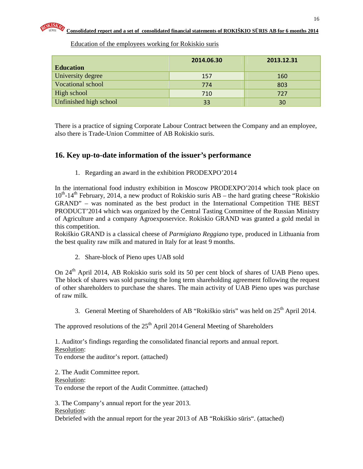| <b>Education</b>       | 2014.06.30 | 2013.12.31 |
|------------------------|------------|------------|
| University degree      | 157        | 160        |
| Vocational school      | 774        | 803        |
| High school            | 710        | 727        |
| Unfinished high school | 33         | 30         |

Education of the employees working for Rokiskio suris

There is a practice of signing Corporate Labour Contract between the Company and an employee, also there is Trade-Union Committee of AB Rokiskio suris.

## **16. Key up-to-date information of the issuer's performance**

1. Regarding an award in the exhibition PRODEXPO'2014

In the international food industry exhibition in Moscow PRODEXPO'2014 which took place on  $10^{th}$ -14<sup>th</sup> February, 2014, a new product of Rokiskio suris AB – the hard grating cheese "Rokiskio" GRAND" – was nominated as the best product in the International Competition THE BEST PRODUCT'2014 which was organized by the Central Tasting Committee of the Russian Ministry of Agriculture and a company Agroexposervice. Rokiskio GRAND was granted a gold medal in this competition.

Rokiškio GRAND is a classical cheese of *Parmigiano Reggiano* type, produced in Lithuania from the best quality raw milk and matured in Italy for at least 9 months.

2. Share-block of Pieno upes UAB sold

On 24<sup>th</sup> April 2014, AB Rokiskio suris sold its 50 per cent block of shares of UAB Pieno upes. The block of shares was sold pursuing the long term shareholding agreement following the request of other shareholders to purchase the shares. The main activity of UAB Pieno upes was purchase of raw milk.

3. General Meeting of Shareholders of AB "Rokiškio sūris" was held on  $25<sup>th</sup>$  April 2014.

The approved resolutions of the  $25<sup>th</sup>$  April 2014 General Meeting of Shareholders

1. Auditor's findings regarding the consolidated financial reports and annual report. Resolution:

To endorse the auditor's report. (attached)

2. The Audit Committee report. Resolution: To endorse the report of the Audit Committee. (attached)

3. The Company's annual report for the year 2013.

Resolution:

Debriefed with the annual report for the year 2013 of AB "Rokiškio sūris". (attached)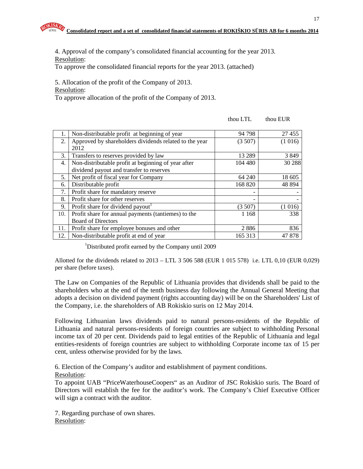4. Approval of the company's consolidated financial accounting for the year 2013. Resolution:

To approve the consolidated financial reports for the year 2013. (attached)

5. Allocation of the profit of the Company of 2013.

Resolution:

To approve allocation of the profit of the Company of 2013.

| 1.  | Non-distributable profit at beginning of year          | 94 798  | 27 455   |
|-----|--------------------------------------------------------|---------|----------|
| 2.  | Approved by shareholders dividends related to the year | (3507)  | (1016)   |
|     | 2012                                                   |         |          |
| 3.  | Transfers to reserves provided by law                  | 13 289  | 3849     |
| 4.  | Non-distributable profit at beginning of year after    | 104 480 | 30 288   |
|     | dividend payout and transfer to reserves               |         |          |
| 5.  | Net profit of fiscal year for Company                  | 64 240  | 18 605   |
| 6.  | Distributable profit                                   | 168 820 | 48 8 9 4 |
| 7.  | Profit share for mandatory reserve                     | -       |          |
| 8.  | Profit share for other reserves                        | -       |          |
| 9.  | Profit share for dividend payout                       | (3 507) | (1016)   |
| 10. | Profit share for annual payments (tantiemes) to the    | 1 1 6 8 | 338      |
|     | <b>Board of Directors</b>                              |         |          |
| 11. | Profit share for employee bonuses and other            | 2886    | 836      |
| 12. | Non-distributable profit at end of year                | 165 313 | 47 878   |

thou LTL thou EUR

<sup>1</sup>Distributed profit earned by the Company until 2009

Allotted for the dividends related to 2013 – LTL 3 506 588 (EUR 1 015 578) i.e. LTL 0,10 (EUR 0,029) per share (before taxes).

The Law on Companies of the Republic of Lithuania provides that dividends shall be paid to the shareholders who at the end of the tenth business day following the Annual General Meeting that adopts a decision on dividend payment (rights accounting day) will be on the Shareholders' List of the Company, i.e. the shareholders of AB Rokiskio suris on 12 May 2014.

Following Lithuanian laws dividends paid to natural persons-residents of the Republic of Lithuania and natural persons-residents of foreign countries are subject to withholding Personal income tax of 20 per cent. Dividends paid to legal entities of the Republic of Lithuania and legal entities-residents of foreign countries are subject to withholding Corporate income tax of 15 per cent, unless otherwise provided for by the laws.

6. Election of the Company's auditor and establishment of payment conditions.

Resolution:

To appoint UAB "PriceWaterhouseCoopers" as an Auditor of JSC Rokiskio suris. The Board of Directors will establish the fee for the auditor's work. The Company's Chief Executive Officer will sign a contract with the auditor.

7. Regarding purchase of own shares. Resolution: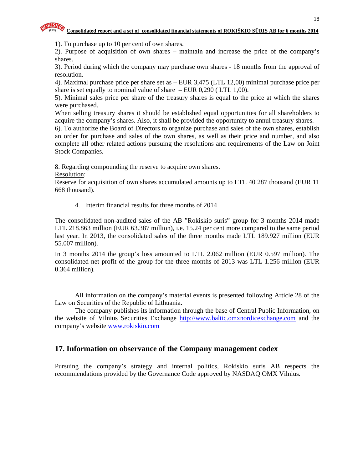1). To purchase up to 10 per cent of own shares.

2). Purpose of acquisition of own shares – maintain and increase the price of the company's shares.

3). Period during which the company may purchase own shares - 18 months from the approval of resolution.

4). Maximal purchase price per share set as – EUR 3,475 (LTL 12,00) minimal purchase price per share is set equally to nominal value of share  $-$  EUR 0,290 (LTL 1,00).

5). Minimal sales price per share of the treasury shares is equal to the price at which the shares were purchased.

When selling treasury shares it should be established equal opportunities for all shareholders to acquire the company's shares. Also, it shall be provided the opportunity to annul treasury shares.

6). To authorize the Board of Directors to organize purchase and sales of the own shares, establish an order for purchase and sales of the own shares, as well as their price and number, and also complete all other related actions pursuing the resolutions and requirements of the Law on Joint Stock Companies.

8. Regarding compounding the reserve to acquire own shares.

Resolution:

Reserve for acquisition of own shares accumulated amounts up to LTL 40 287 thousand (EUR 11 668 thousand).

4. Interim financial results for three months of 2014

The consolidated non-audited sales of the AB "Rokiskio suris" group for 3 months 2014 made LTL 218.863 million (EUR 63.387 million), i.e. 15.24 per cent more compared to the same period last year. In 2013, the consolidated sales of the three months made LTL 189.927 million (EUR 55.007 million).

In 3 months 2014 the group's loss amounted to LTL 2.062 million (EUR 0.597 million). The consolidated net profit of the group for the three months of 2013 was LTL 1.256 million (EUR 0.364 million).

All information on the company's material events is presented following Article 28 of the Law on Securities of the Republic of Lithuania.

The company publishes its information through the base of Central Public Information, on the website of Vilnius Securities Exchange http://www.baltic.omxnordicexchange.com and the company's website www.rokiskio.com

## **17. Information on observance of the Company management codex**

Pursuing the company's strategy and internal politics, Rokiskio suris AB respects the recommendations provided by the Governance Code approved by NASDAQ OMX Vilnius.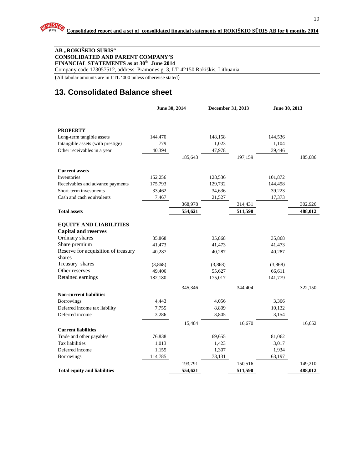#### **AB "ROKIŠKIO S**Ū**RIS" CONSOLIDATED AND PARENT COMPANY'S FINANCIAL STATEMENTS as at 30th June 2014**

Company code 173057512, address: Pramonės g. 3, LT-42150 Rokiškis, Lithuania

(All tabular amounts are in LTL '000 unless otherwise stated)

## **13. Consolidated Balance sheet**

|                                     | June 30, 2014 |         | December 31, 2013 |         | June 30, 2013 |         |
|-------------------------------------|---------------|---------|-------------------|---------|---------------|---------|
|                                     |               |         |                   |         |               |         |
| <b>PROPERTY</b>                     |               |         |                   |         |               |         |
| Long-term tangible assets           | 144,470       |         | 148,158           |         | 144,536       |         |
| Intangible assets (with prestige)   | 779           |         | 1,023             |         | 1,104         |         |
| Other receivables in a year         | 40,394        |         | 47,978            |         | 39,446        |         |
|                                     |               | 185,643 |                   | 197,159 |               | 185,086 |
| <b>Current assets</b>               |               |         |                   |         |               |         |
| Inventories                         | 152,256       |         | 128,536           |         | 101,872       |         |
| Receivables and advance payments    | 175,793       |         | 129,732           |         | 144,458       |         |
| Short-term investments              | 33,462        |         | 34,636            |         | 39,223        |         |
| Cash and cash equivalents           | 7,467         |         | 21,527            |         | 17,373        |         |
|                                     |               | 368,978 |                   | 314,431 |               | 302,926 |
| <b>Total assets</b>                 |               | 554,621 |                   | 511,590 |               | 488,012 |
| <b>EQUITY AND LIABILITIES</b>       |               |         |                   |         |               |         |
| <b>Capital and reserves</b>         |               |         |                   |         |               |         |
| Ordinary shares                     | 35,868        |         | 35,868            |         | 35,868        |         |
| Share premium                       | 41,473        |         | 41,473            |         | 41,473        |         |
| Reserve for acquisition of treasury | 40,287        |         | 40,287            |         | 40,287        |         |
| shares                              |               |         |                   |         |               |         |
| Treasury shares                     | (3,868)       |         | (3,868)           |         | (3,868)       |         |
| Other reserves                      | 49,406        |         | 55,627            |         | 66,611        |         |
| Retained earnings                   | 182,180       |         | 175,017           |         | 141,779       |         |
|                                     |               | 345,346 |                   | 344,404 |               | 322,150 |
| <b>Non-current liabilities</b>      |               |         |                   |         |               |         |
| <b>Borrowings</b>                   | 4,443         |         | 4,056             |         | 3,366         |         |
| Deferred income tax liability       | 7,755         |         | 8,809             |         | 10,132        |         |
| Deferred income                     | 3,286         |         | 3,805             |         | 3,154         |         |
|                                     |               | 15,484  |                   | 16,670  |               | 16,652  |
| <b>Current liabilities</b>          |               |         |                   |         |               |         |
| Trade and other payables            | 76,838        |         | 69,655            |         | 81,062        |         |
| Tax liabilities                     | 1,013         |         | 1,423             |         | 3,017         |         |
| Deferred income                     | 1,155         |         | 1,307             |         | 1,934         |         |
| <b>Borrowings</b>                   | 114,785       |         | 78,131            |         | 63,197        |         |
|                                     |               | 193,791 |                   | 150,516 |               | 149,210 |
| <b>Total equity and liabilities</b> |               | 554,621 |                   | 511,590 |               | 488,012 |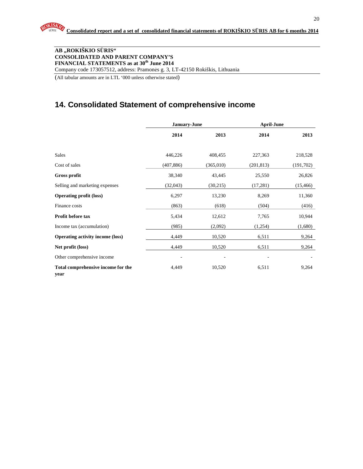#### **AB "ROKIŠKIO S**Ū**RIS" CONSOLIDATED AND PARENT COMPANY'S FINANCIAL STATEMENTS as at 30th June 2014**  Company code 173057512, address: Pramonės g. 3, LT-42150 Rokiškis, Lithuania

(All tabular amounts are in LTL '000 unless otherwise stated)

## **14. Consolidated Statement of comprehensive income**

|                                            |            | <b>January-June</b> | <b>April-June</b> |           |  |
|--------------------------------------------|------------|---------------------|-------------------|-----------|--|
|                                            | 2014       | 2013                | 2014              | 2013      |  |
|                                            |            |                     |                   |           |  |
| Sales                                      | 446,226    | 408,455             | 227,363           | 218,528   |  |
| Cost of sales                              | (407, 886) | (365,010)           | (201, 813)        | (191,702) |  |
| <b>Gross profit</b>                        | 38,340     | 43,445              | 25,550            | 26,826    |  |
| Selling and marketing expenses             | (32,043)   | (30,215)            | (17, 281)         | (15, 466) |  |
| <b>Operating profit (loss)</b>             | 6,297      | 13,230              | 8,269             | 11,360    |  |
| Finance costs                              | (863)      | (618)               | (504)             | (416)     |  |
| Profit before tax                          | 5,434      | 12,612              | 7,765             | 10,944    |  |
| Income tax (accumulation)                  | (985)      | (2,092)             | (1,254)           | (1,680)   |  |
| <b>Operating activity income (loss)</b>    | 4,449      | 10,520              | 6,511             | 9,264     |  |
| Net profit (loss)                          | 4,449      | 10,520              | 6,511             | 9,264     |  |
| Other comprehensive income                 |            | ٠                   |                   |           |  |
| Total comprehensive income for the<br>year | 4,449      | 10,520              | 6,511             | 9,264     |  |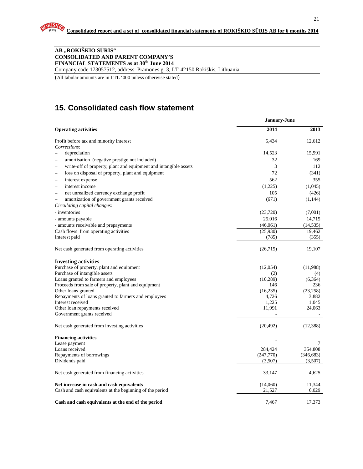#### **AB "ROKIŠKIO S**Ū**RIS" CONSOLIDATED AND PARENT COMPANY'S FINANCIAL STATEMENTS as at 30th June 2014**

Company code 173057512, address: Pramonės g. 3, LT-42150 Rokiškis, Lithuania

(All tabular amounts are in LTL '000 unless otherwise stated)

## **15. Consolidated cash flow statement**

|                                                                           | <b>January-June</b> |                 |  |
|---------------------------------------------------------------------------|---------------------|-----------------|--|
| <b>Operating activities</b>                                               | 2014                | 2013            |  |
| Profit before tax and minority interest                                   | 5,434               | 12,612          |  |
| Corrections:                                                              |                     |                 |  |
| depreciation                                                              | 14,523              | 15,991          |  |
| amortisation (negative prestige not included)<br>$\overline{\phantom{0}}$ | 32                  | 169             |  |
| write-off of property, plant and equipment and intangible assets          | 3                   | 112             |  |
| loss on disposal of property, plant and equipment                         | 72                  | (341)           |  |
| interest expense                                                          | 562                 | 355             |  |
| interest income                                                           | (1,225)             | (1,045)         |  |
| net unrealized currency exchange profit<br>L.                             | 105                 | (426)           |  |
| amortization of government grants received<br>$\overline{\phantom{0}}$    | (671)               | (1,144)         |  |
| Circulating capital changes:                                              |                     |                 |  |
| - inventories                                                             | (23,720)            | (7,001)         |  |
| - amounts payable                                                         | 25,016              | 14,715          |  |
| - amounts receivable and prepayments                                      | (46,061)            | (14, 535)       |  |
| Cash flows from operating activities                                      | (25,930)            | 19,462          |  |
| Interest paid                                                             | (785)               | (355)           |  |
| Net cash generated from operating activities                              | (26,715)            | 19,107          |  |
| <b>Investing activities</b>                                               |                     |                 |  |
| Purchase of property, plant and equipment                                 | (12,054)            | (11,988)        |  |
| Purchase of intangible assets                                             | (2)                 | (4)             |  |
| Loans granted to farmers and employees                                    | (10, 289)           | (6,364)         |  |
| Proceeds from sale of property, plant and equipment                       | 146                 | 236             |  |
| Other loans granted                                                       | (16, 235)           | (23, 258)       |  |
| Repayments of loans granted to farmers and employees                      | 4,726               | 3,882           |  |
| Interest received                                                         | 1,225<br>11,991     | 1,045<br>24,063 |  |
| Other loan repayments received<br>Government grants received              |                     |                 |  |
| Net cash generated from investing activities                              | (20, 492)           | (12, 388)       |  |
|                                                                           |                     |                 |  |
| <b>Financing activities</b>                                               |                     |                 |  |
| Lease payment                                                             |                     | 7               |  |
| Loans received                                                            | 284,424             | 354,808         |  |
| Repayments of borrowings                                                  | (247,770)           | (346, 683)      |  |
| Dividends paid                                                            | (3,507)             | (3,507)         |  |
| Net cash generated from financing activities                              | 33,147              | 4,625           |  |
| Net increase in cash and cash equivalents                                 | (14,060)            | 11,344          |  |
| Cash and cash equivalents at the beginning of the period                  | 21,527              | 6,029           |  |
| Cash and cash equivalents at the end of the period                        | 7.467               | 17,373          |  |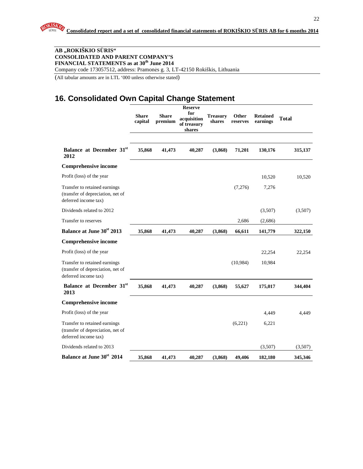#### **AB "ROKIŠKIO S**Ū**RIS" CONSOLIDATED AND PARENT COMPANY'S FINANCIAL STATEMENTS as at 30th June 2014**  Company code 173057512, address: Pramonės g. 3, LT-42150 Rokiškis, Lithuania

(All tabular amounts are in LTL '000 unless otherwise stated)

## **16. Consolidated Own Capital Change Statement**

|                                                                                            | <b>Share</b><br>capital | <b>Share</b><br>premium | <b>Reserve</b><br>for<br>acquisition<br>of treasury<br>shares | <b>Treasury</b><br>shares | Other<br>reserves | <b>Retained</b><br>earnings | <b>Total</b> |
|--------------------------------------------------------------------------------------------|-------------------------|-------------------------|---------------------------------------------------------------|---------------------------|-------------------|-----------------------------|--------------|
|                                                                                            |                         |                         |                                                               |                           |                   |                             |              |
| Balance at December 31 <sup>st</sup><br>2012                                               | 35,868                  | 41,473                  | 40,287                                                        | (3,868)                   | 71,201            | 130,176                     | 315,137      |
| <b>Comprehensive income</b>                                                                |                         |                         |                                                               |                           |                   |                             |              |
| Profit (loss) of the year                                                                  |                         |                         |                                                               |                           |                   | 10,520                      | 10,520       |
| Transfer to retained earnings<br>(transfer of depreciation, net of<br>deferred income tax) |                         |                         |                                                               |                           | (7,276)           | 7,276                       |              |
| Dividends related to 2012                                                                  |                         |                         |                                                               |                           |                   | (3,507)                     | (3,507)      |
| Transfer to reserves                                                                       |                         |                         |                                                               |                           | 2,686             | (2,686)                     |              |
| Balance at June 30 <sup>st</sup> 2013                                                      | 35,868                  | 41,473                  | 40,287                                                        | (3,868)                   | 66,611            | 141,779                     | 322,150      |
| <b>Comprehensive income</b>                                                                |                         |                         |                                                               |                           |                   |                             |              |
| Profit (loss) of the year                                                                  |                         |                         |                                                               |                           |                   | 22,254                      | 22,254       |
| Transfer to retained earnings<br>(transfer of depreciation, net of<br>deferred income tax) |                         |                         |                                                               |                           | (10,984)          | 10,984                      |              |
| Balance at December 31st<br>2013                                                           | 35,868                  | 41,473                  | 40,287                                                        | (3,868)                   | 55,627            | 175,017                     | 344,404      |
| <b>Comprehensive income</b>                                                                |                         |                         |                                                               |                           |                   |                             |              |
| Profit (loss) of the year                                                                  |                         |                         |                                                               |                           |                   | 4,449                       | 4,449        |
| Transfer to retained earnings<br>(transfer of depreciation, net of<br>deferred income tax) |                         |                         |                                                               |                           | (6,221)           | 6,221                       |              |
| Dividends related to 2013                                                                  |                         |                         |                                                               |                           |                   | (3,507)                     | (3,507)      |
| Balance at June 30 <sup>st</sup> 2014                                                      | 35,868                  | 41,473                  | 40,287                                                        | (3,868)                   | 49,406            | 182,180                     | 345,346      |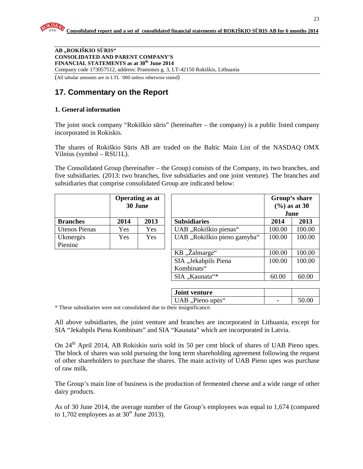**AB "ROKIŠKIO S**Ū**RIS" CONSOLIDATED AND PARENT COMPANY'S FINANCIAL STATEMENTS as at 30th June 2014**  Company code 173057512, address: Pramonės g. 3, LT-42150 Rokiškis, Lithuania

(All tabular amounts are in LTL '000 unless otherwise stated)

## **17. Commentary on the Report**

#### **1. General information**

The joint stock company "Rokiškio sūris" (hereinafter – the company) is a public listed company incorporated in Rokiskis.

The shares of Rokiškio Sūris AB are traded on the Baltic Main List of the NASDAQ OMX Vilnius (symbol – RSU1L).

The Consolidated Group (hereinafter – the Group) consists of the Company, its two branches, and five subsidiaries. (2013: two branches, five subsidiaries and one joint venture). The branches and subsidiaries that comprise consolidated Group are indicated below:

|                      |            | <b>Operating as at</b><br>30 June |                             | $(\frac{6}{6})$ as at 30 | Group's share<br>June |
|----------------------|------------|-----------------------------------|-----------------------------|--------------------------|-----------------------|
| <b>Branches</b>      | 2014       | 2013                              | <b>Subsidiaries</b>         | 2014                     | 2013                  |
| <b>Utenos Pienas</b> | Yes        | Yes                               | UAB "Rokiškio pienas"       | 100.00                   | 100.00                |
| Ukmergės             | <b>Yes</b> | Yes                               | UAB "Rokiškio pieno gamyba" | 100.00                   | 100.00                |
| Pieninė              |            |                                   |                             |                          |                       |
|                      |            |                                   | KB "Žalmargė"               | 100.00                   | 100.00                |
|                      |            |                                   | SIA "Jekabpils Piena        | 100.00                   | 100.00                |
|                      |            |                                   | Kombinats"                  |                          |                       |
|                      |            |                                   | SIA "Kaunata"*              | 60.00                    | 60.00                 |
|                      |            |                                   |                             |                          |                       |
|                      |            |                                   | <b>Joint venture</b>        |                          |                       |
|                      |            |                                   | UAB "Pieno upės"            |                          | 50.00                 |

\* These subsidiaries were not consolidated due to their insignificance.

All above subsidiaries, the joint venture and branches are incorporated in Lithuania, except for SIA "Jekabpils Piena Kombinats" and SIA "Kaunata" which are incorporated in Latvia.

On 24<sup>th</sup> April 2014, AB Rokiskio suris sold its 50 per cent block of shares of UAB Pieno upes. The block of shares was sold pursuing the long term shareholding agreement following the request of other shareholders to purchase the shares. The main activity of UAB Pieno upes was purchase of raw milk.

The Group's main line of business is the production of fermented cheese and a wide range of other dairy products.

As of 30 June 2014, the average number of the Group's employees was equal to 1,674 (compared to 1,702 employees as at  $30<sup>st</sup>$  June 2013).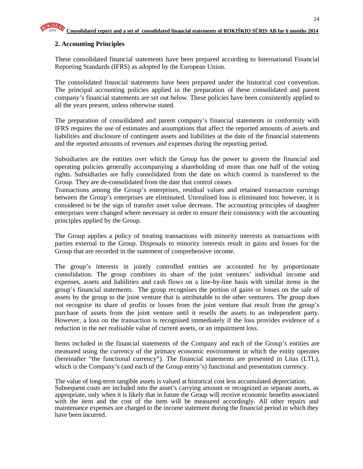## **2. Accounting Principles**

These consolidated financial statements have been prepared according to International Financial Reporting Standards (IFRS) as adopted by the European Union.

The consolidated financial statements have been prepared under the historical cost convention. The principal accounting policies applied in the preparation of these consolidated and parent company's financial statements are set out below. These policies have been consistently applied to all the years present, unless otherwise stated.

The preparation of consolidated and parent company's financial statements in conformity with IFRS requires the use of estimates and assumptions that affect the reported amounts of assets and liabilities and disclosure of contingent assets and liabilities at the date of the financial statements and the reported amounts of revenues and expenses during the reporting period.

Subsidiaries are the entities over which the Group has the power to govern the financial and operating policies generally accompanying a shareholding of more than one half of the voting rights. Subsidiaries are fully consolidated from the date on which control is transferred to the Group. They are de-consolidated from the date that control ceases.

Transactions among the Group's enterprises, residual values and retained transaction earnings between the Group's enterprises are eliminated. Unrealised loss is eliminated too; however, it is considered to be the sign of transfer asset value decrease. The accounting principles of daughter enterprises were changed where necessary in order to ensure their consistency with the accounting principles applied by the Group.

The Group applies a policy of treating transactions with minority interests as transactions with parties external to the Group. Disposals to minority interests result in gains and losses for the Group that are recorded in the statement of comprehensive income.

The group's interests in jointly controlled entities are accounted for by proportionate consolidation. The group combines its share of the joint ventures' individual income and expenses, assets and liabilities and cash flows on a line-by-line basis with similar items in the group's financial statements. The group recognises the portion of gains or losses on the sale of assets by the group to the joint venture that is attributable to the other venturers. The group does not recognise its share of profits or losses from the joint venture that result from the group's purchase of assets from the joint venture until it resells the assets to an independent party. However, a loss on the transaction is recognised immediately if the loss provides evidence of a reduction in the net realisable value of current assets, or an impairment loss.

Items included in the financial statements of the Company and each of the Group's entities are measured using the currency of the primary economic environment in which the entity operates (hereinafter "the functional currency"). The financial statements are presented in Litas (LTL), which is the Company's (and each of the Group entity's) functional and presentation currency.

The value of long-term tangible assets is valued at historical cost less accumulated depreciation. Subsequent costs are included into the asset's carrying amount or recognized as separate assets, as appropriate, only when it is likely that in future the Group will receive economic benefits associated with the item and the cost of the item will be measured accordingly. All other repairs and maintenance expenses are charged to the income statement during the financial period in which they have been incurred.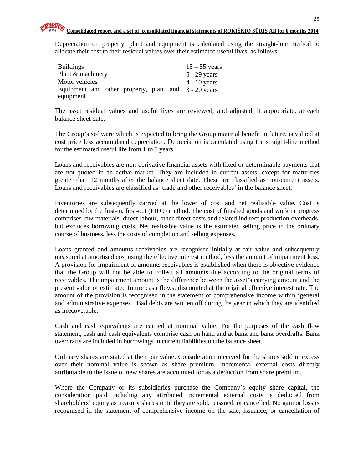Depreciation on property, plant and equipment is calculated using the straight-line method to allocate their cost to their residual values over their estimated useful lives, as follows:

| <b>Buildings</b>                                     | $15 - 55$ years |
|------------------------------------------------------|-----------------|
| Plant & machinery                                    | $5 - 29$ years  |
| Motor vehicles                                       | $4 - 10$ years  |
| Equipment and other property, plant and 3 - 20 years |                 |
| equipment                                            |                 |

The asset residual values and useful lives are reviewed, and adjusted, if appropriate, at each balance sheet date.

The Group's software which is expected to bring the Group material benefit in future, is valued at cost price less accumulated depreciation. Depreciation is calculated using the straight-line method for the estimated useful life from 1 to 5 years.

Loans and receivables are non-derivative financial assets with fixed or determinable payments that are not quoted in an active market. They are included in current assets, except for maturities greater than 12 months after the balance sheet date. These are classified as non-current assets. Loans and receivables are classified as 'trade and other receivables' in the balance sheet.

Inventories are subsequently carried at the lower of cost and net realisable value. Cost is determined by the first-in, first-out (FIFO) method. The cost of finished goods and work in progress comprises raw materials, direct labour, other direct costs and related indirect production overheads, but excludes borrowing costs. Net realisable value is the estimated selling price in the ordinary course of business, less the costs of completion and selling expenses.

Loans granted and amounts receivables are recognised initially at fair value and subsequently measured at amortised cost using the effective interest method, less the amount of impairment loss. A provision for impairment of amounts receivables is established when there is objective evidence that the Group will not be able to collect all amounts due according to the original terms of receivables. The impairment amount is the difference between the asset's carrying amount and the present value of estimated future cash flows, discounted at the original effective interest rate. The amount of the provision is recognised in the statement of comprehensive income within 'general and administrative expenses'. Bad debts are written off during the year in which they are identified as irrecoverable.

Cash and cash equivalents are carried at nominal value. For the purposes of the cash flow statement, cash and cash equivalents comprise cash on hand and at bank and bank overdrafts. Bank overdrafts are included in borrowings in current liabilities on the balance sheet.

Ordinary shares are stated at their par value. Consideration received for the shares sold in excess over their nominal value is shown as share premium. Incremental external costs directly attributable to the issue of new shares are accounted for as a deduction from share premium.

Where the Company or its subsidiaries purchase the Company's equity share capital, the consideration paid including any attributed incremental external costs is deducted from shareholders' equity as treasury shares until they are sold, reissued, or cancelled. No gain or loss is recognised in the statement of comprehensive income on the sale, issuance, or cancellation of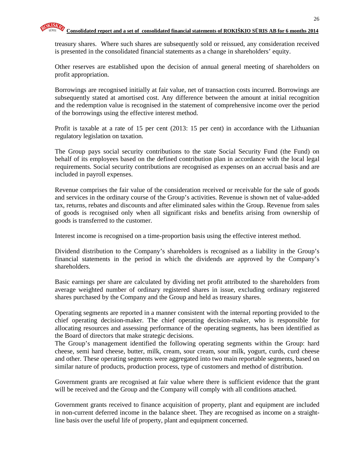treasury shares. Where such shares are subsequently sold or reissued, any consideration received is presented in the consolidated financial statements as a change in shareholders' equity.

Other reserves are established upon the decision of annual general meeting of shareholders on profit appropriation.

Borrowings are recognised initially at fair value, net of transaction costs incurred. Borrowings are subsequently stated at amortised cost. Any difference between the amount at initial recognition and the redemption value is recognised in the statement of comprehensive income over the period of the borrowings using the effective interest method.

Profit is taxable at a rate of 15 per cent (2013: 15 per cent) in accordance with the Lithuanian regulatory legislation on taxation.

The Group pays social security contributions to the state Social Security Fund (the Fund) on behalf of its employees based on the defined contribution plan in accordance with the local legal requirements. Social security contributions are recognised as expenses on an accrual basis and are included in payroll expenses.

Revenue comprises the fair value of the consideration received or receivable for the sale of goods and services in the ordinary course of the Group's activities. Revenue is shown net of value-added tax, returns, rebates and discounts and after eliminated sales within the Group. Revenue from sales of goods is recognised only when all significant risks and benefits arising from ownership of goods is transferred to the customer.

Interest income is recognised on a time-proportion basis using the effective interest method.

Dividend distribution to the Company's shareholders is recognised as a liability in the Group's financial statements in the period in which the dividends are approved by the Company's shareholders.

Basic earnings per share are calculated by dividing net profit attributed to the shareholders from average weighted number of ordinary registered shares in issue, excluding ordinary registered shares purchased by the Company and the Group and held as treasury shares.

Operating segments are reported in a manner consistent with the internal reporting provided to the chief operating decision-maker. The chief operating decision-maker, who is responsible for allocating resources and assessing performance of the operating segments, has been identified as the Board of directors that make strategic decisions.

The Group's management identified the following operating segments within the Group: hard cheese, semi hard cheese, butter, milk, cream, sour cream, sour milk, yogurt, curds, curd cheese and other. These operating segments were aggregated into two main reportable segments, based on similar nature of products, production process, type of customers and method of distribution.

Government grants are recognised at fair value where there is sufficient evidence that the grant will be received and the Group and the Company will comply with all conditions attached.

Government grants received to finance acquisition of property, plant and equipment are included in non-current deferred income in the balance sheet. They are recognised as income on a straightline basis over the useful life of property, plant and equipment concerned.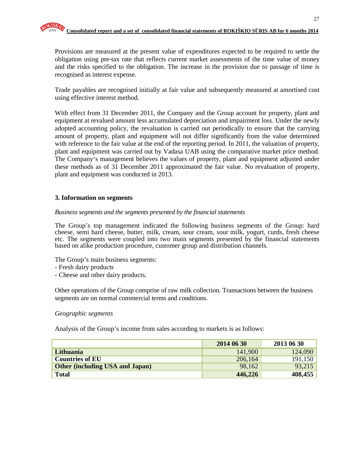Provisions are measured at the present value of expenditures expected to be required to settle the obligation using pre-tax rate that reflects current market assessments of the time value of money and the risks specified to the obligation. The increase in the provision due to passage of time is recognised as interest expense.

Trade payables are recognised initially at fair value and subsequently measured at amortised cost using effective interest method.

With effect from 31 December 2011, the Company and the Group account for property, plant and equipment at revalued amount less accumulated depreciation and impairment loss. Under the newly adopted accounting policy, the revaluation is carried out periodically to ensure that the carrying amount of property, plant and equipment will not differ significantly from the value determined with reference to the fair value at the end of the reporting period. In 2011, the valuation of property, plant and equipment was carried out by Vadasa UAB using the comparative market price method. The Company's management believes the values of property, plant and equipment adjusted under these methods as of 31 December 2011 approximated the fair value. No revaluation of property, plant and equipment was conducted in 2013.

#### **3. Information on segments**

#### *Business segments and the segments presented by the financial statements*

The Group's top management indicated the following business segments of the Group: hard cheese, semi hard cheese, butter, milk, cream, sour cream, sour milk, yogurt, curds, fresh cheese etc. The segments were coupled into two main segments presented by the financial statements based on alike production procedure, customer group and distribution channels.

The Group's main business segments:

- Fresh dairy products
- Cheese and other dairy products.

Other operations of the Group comprise of raw milk collection. Transactions between the business segments are on normal commercial terms and conditions.

#### *Geographic segments*

Analysis of the Group's income from sales according to markets is as follows:

|                                        | 2014 06 30 | 2013 06 30 |
|----------------------------------------|------------|------------|
| Lithuania                              | 141,900    | 124,090    |
| <b>Countries of EU</b>                 | 206,164    | 191,150    |
| <b>Other (including USA and Japan)</b> | 98,162     | 93,215     |
| <b>Total</b>                           | 446,226    | 408,455    |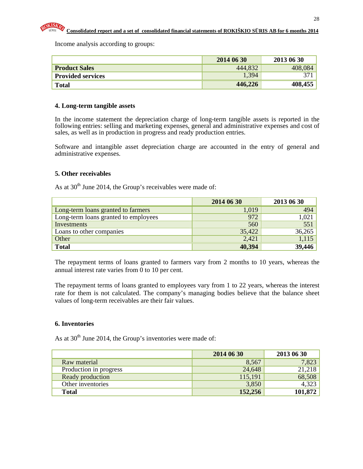

Income analysis according to groups:

|                          | 2014 06 30 | 2013 06 30 |
|--------------------------|------------|------------|
| <b>Product Sales</b>     | 444,832    | 408,084    |
| <b>Provided services</b> | 1,394      |            |
| <b>Total</b>             | 446,226    | 408,455    |

#### **4. Long-term tangible assets**

In the income statement the depreciation charge of long-term tangible assets is reported in the following entries: selling and marketing expenses, general and administrative expenses and cost of sales, as well as in production in progress and ready production entries.

Software and intangible asset depreciation charge are accounted in the entry of general and administrative expenses.

#### **5. Other receivables**

As at  $30<sup>th</sup>$  June 2014, the Group's receivables were made of:

|                                      | 2014 06 30 | 2013 06 30 |
|--------------------------------------|------------|------------|
| Long-term loans granted to farmers   | 1,019      | 494        |
| Long-term loans granted to employees | 972        | 1,021      |
| Investments                          | 560        | 551        |
| Loans to other companies             | 35,422     | 36,265     |
| Other                                | 2,421      | 1,115      |
| <b>Total</b>                         | 40,394     | 39,446     |

The repayment terms of loans granted to farmers vary from 2 months to 10 years, whereas the annual interest rate varies from 0 to 10 per cent.

The repayment terms of loans granted to employees vary from 1 to 22 years, whereas the interest rate for them is not calculated. The company's managing bodies believe that the balance sheet values of long-term receivables are their fair values.

#### **6. Inventories**

As at  $30<sup>th</sup>$  June 2014, the Group's inventories were made of:

|                        | 2014 06 30 | 2013 06 30 |
|------------------------|------------|------------|
| Raw material           | 8,567      | 7,823      |
| Production in progress | 24,648     | 21,218     |
| Ready production       | 115,191    | 68,508     |
| Other inventories      | 3,850      | 4,323      |
| <b>Total</b>           | 152,256    | 101,872    |